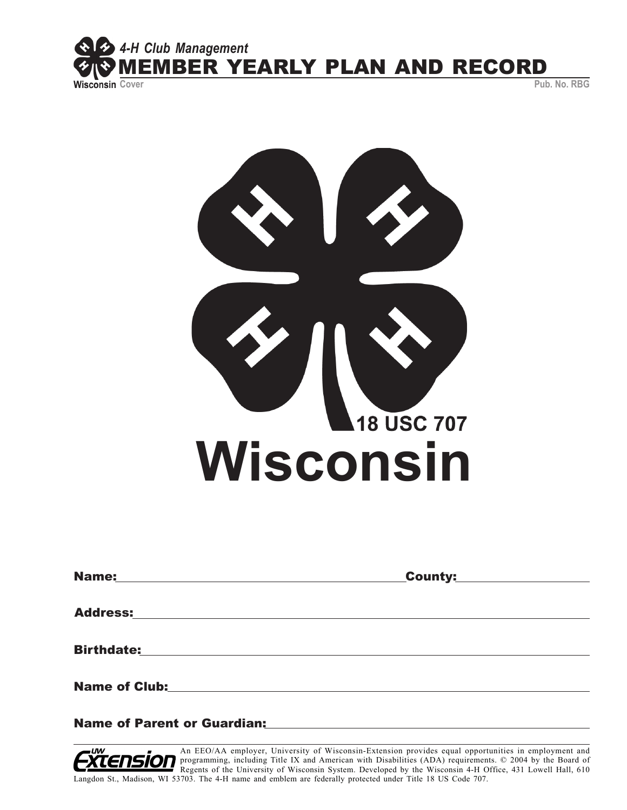

**18 USC 707 Wisconsin**

| <b>Name:</b>                                                                                                                              | _County: |
|-------------------------------------------------------------------------------------------------------------------------------------------|----------|
|                                                                                                                                           |          |
| <b>Address:</b>                                                                                                                           |          |
|                                                                                                                                           |          |
| <b>Birthdate:</b><br><u> 1980 - Jan Samuel Barbara, margaret e</u> n 1980 eta eta eskualdean eta eskualdean eta eskualdean eta eskualdean |          |
|                                                                                                                                           |          |
| <b>Name of Club:</b>                                                                                                                      |          |
|                                                                                                                                           |          |

Name of Parent or Guardian:

An EEO/AA employer, University of Wisconsin-Extension provides equal opportunities in employment and **OFF** programming, including Title IX and American with Disabilities (ADA) requirements. © 2004 by the Board of Regents of the University of Wisconsin System. Developed by the Wisconsin 4-H Office, 431 Lowell Hall, 610 Langdon St., Madison, WI 53703. The 4-H name and emblem are federally protected under Title 18 US Code 707.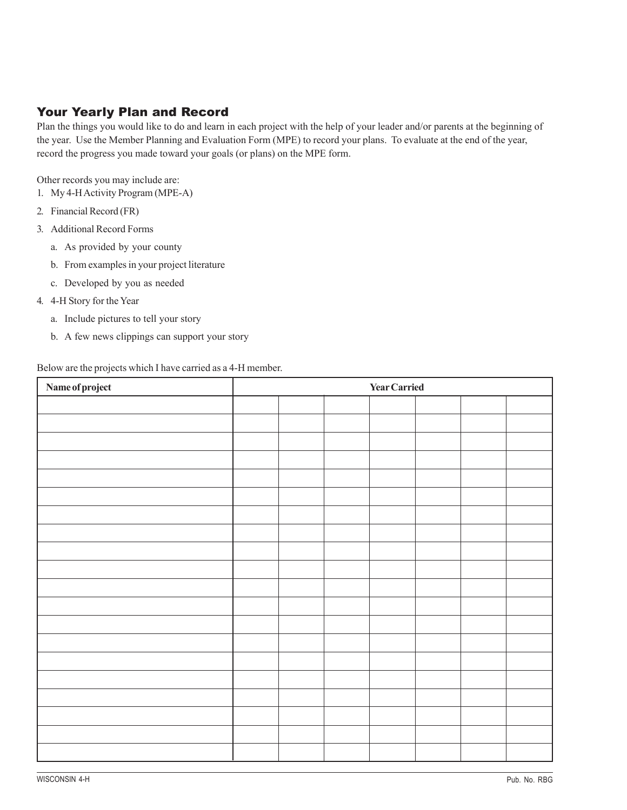## Your Yearly Plan and Record

Plan the things you would like to do and learn in each project with the help of your leader and/or parents at the beginning of the year. Use the Member Planning and Evaluation Form (MPE) to record your plans. To evaluate at the end of the year, record the progress you made toward your goals (or plans) on the MPE form.

Other records you may include are:

- 1. My 4-H Activity Program (MPE-A)
- 2. Financial Record (FR)
- 3. Additional Record Forms
	- a. As provided by your county
	- b. From examples in your project literature
	- c. Developed by you as needed
- 4. 4-H Story for the Year
	- a. Include pictures to tell your story
	- b. A few news clippings can support your story

Below are the projects which I have carried as a 4-H member.

| Name of project | <b>Year Carried</b> |  |  |  |  |
|-----------------|---------------------|--|--|--|--|
|                 |                     |  |  |  |  |
|                 |                     |  |  |  |  |
|                 |                     |  |  |  |  |
|                 |                     |  |  |  |  |
|                 |                     |  |  |  |  |
|                 |                     |  |  |  |  |
|                 |                     |  |  |  |  |
|                 |                     |  |  |  |  |
|                 |                     |  |  |  |  |
|                 |                     |  |  |  |  |
|                 |                     |  |  |  |  |
|                 |                     |  |  |  |  |
|                 |                     |  |  |  |  |
|                 |                     |  |  |  |  |
|                 |                     |  |  |  |  |
|                 |                     |  |  |  |  |
|                 |                     |  |  |  |  |
|                 |                     |  |  |  |  |
|                 |                     |  |  |  |  |
|                 |                     |  |  |  |  |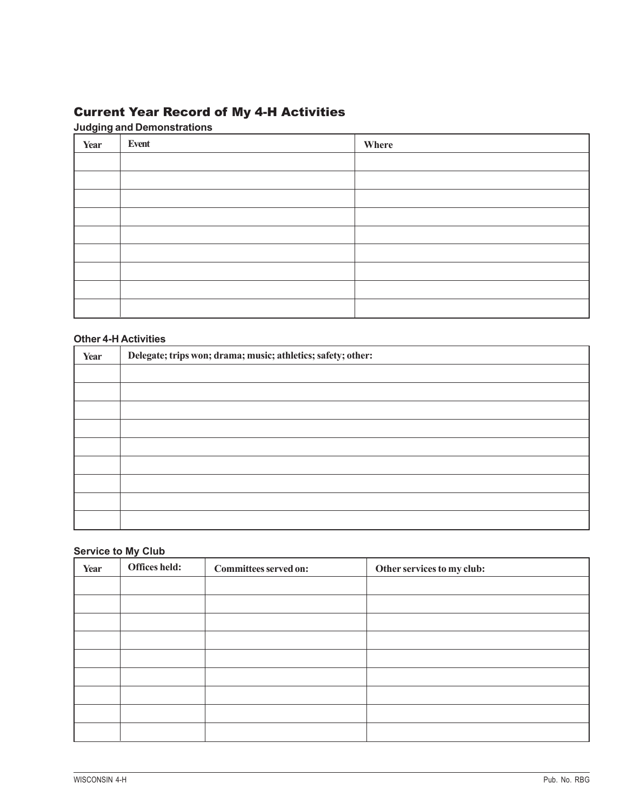# Current Year Record of My 4-H Activities

#### **Judging and Demonstrations**

| Year | Event | Where |
|------|-------|-------|
|      |       |       |
|      |       |       |
|      |       |       |
|      |       |       |
|      |       |       |
|      |       |       |
|      |       |       |
|      |       |       |
|      |       |       |

#### **Other 4-H Activities**

| Year | Delegate; trips won; drama; music; athletics; safety; other: |  |
|------|--------------------------------------------------------------|--|
|      |                                                              |  |
|      |                                                              |  |
|      |                                                              |  |
|      |                                                              |  |
|      |                                                              |  |
|      |                                                              |  |
|      |                                                              |  |
|      |                                                              |  |
|      |                                                              |  |

#### **Service to My Club**

| Year | Offices held: | Committees served on: | Other services to my club: |
|------|---------------|-----------------------|----------------------------|
|      |               |                       |                            |
|      |               |                       |                            |
|      |               |                       |                            |
|      |               |                       |                            |
|      |               |                       |                            |
|      |               |                       |                            |
|      |               |                       |                            |
|      |               |                       |                            |
|      |               |                       |                            |